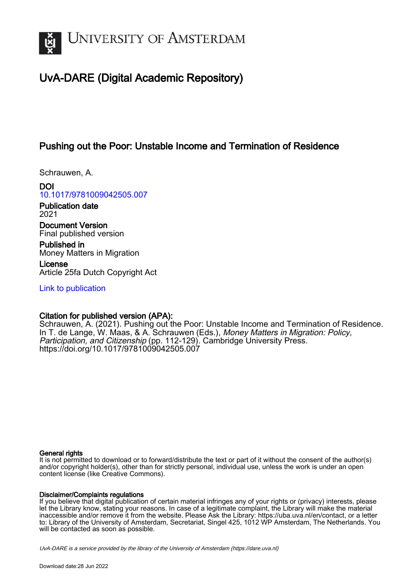

# UvA-DARE (Digital Academic Repository)

## Pushing out the Poor: Unstable Income and Termination of Residence

Schrauwen, A.

DOI [10.1017/9781009042505.007](https://doi.org/10.1017/9781009042505.007)

Publication date 2021

Document Version Final published version

Published in Money Matters in Migration

License Article 25fa Dutch Copyright Act

[Link to publication](https://dare.uva.nl/personal/pure/en/publications/pushing-out-the-poor-unstable-income-and-termination-of-residence(5aace829-9cb4-4b20-a166-764146f37d38).html)

## Citation for published version (APA):

Schrauwen, A. (2021). Pushing out the Poor: Unstable Income and Termination of Residence. In T. de Lange, W. Maas, & A. Schrauwen (Eds.), Money Matters in Migration: Policy, Participation, and Citizenship (pp. 112-129). Cambridge University Press. <https://doi.org/10.1017/9781009042505.007>

## General rights

It is not permitted to download or to forward/distribute the text or part of it without the consent of the author(s) and/or copyright holder(s), other than for strictly personal, individual use, unless the work is under an open content license (like Creative Commons).

## Disclaimer/Complaints regulations

If you believe that digital publication of certain material infringes any of your rights or (privacy) interests, please let the Library know, stating your reasons. In case of a legitimate complaint, the Library will make the material inaccessible and/or remove it from the website. Please Ask the Library: https://uba.uva.nl/en/contact, or a letter to: Library of the University of Amsterdam, Secretariat, Singel 425, 1012 WP Amsterdam, The Netherlands. You will be contacted as soon as possible.

UvA-DARE is a service provided by the library of the University of Amsterdam (http*s*://dare.uva.nl)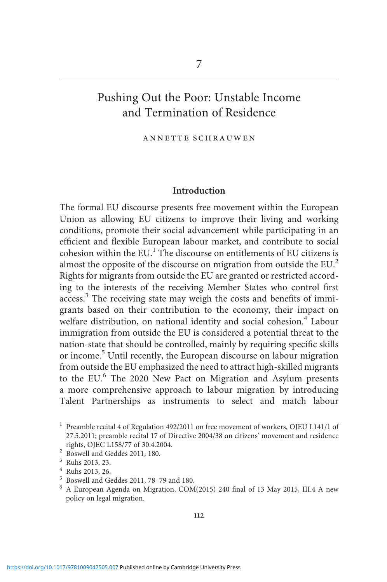## Pushing Out the Poor: Unstable Income and Termination of Residence

#### annette schrauwen

### Introduction

The formal EU discourse presents free movement within the European Union as allowing EU citizens to improve their living and working conditions, promote their social advancement while participating in an efficient and flexible European labour market, and contribute to social cohesion within the EU.<sup>1</sup> The discourse on entitlements of EU citizens is almost the opposite of the discourse on migration from outside the EU.<sup>2</sup> Rights for migrants from outside the EU are granted or restricted according to the interests of the receiving Member States who control first access.<sup>3</sup> The receiving state may weigh the costs and benefits of immigrants based on their contribution to the economy, their impact on welfare distribution, on national identity and social cohesion.<sup>4</sup> Labour immigration from outside the EU is considered a potential threat to the nation-state that should be controlled, mainly by requiring specific skills or income.<sup>5</sup> Until recently, the European discourse on labour migration from outside the EU emphasized the need to attract high-skilled migrants to the EU.<sup>6</sup> The 2020 New Pact on Migration and Asylum presents a more comprehensive approach to labour migration by introducing Talent Partnerships as instruments to select and match labour

<sup>&</sup>lt;sup>1</sup> Preamble recital 4 of Regulation  $492/2011$  on free movement of workers, OJEU L141/1 of 27.5.2011; preamble recital 17 of Directive 2004/38 on citizens' movement and residence

 $\frac{20}{3}$  Boswell and Geddes 2011, 180.<br>  $\frac{3}{4}$  Ruhs 2013, 23.<br>  $\frac{4}{5}$  Roswell and Geddes 2011, 78–79 and 180.<br>  $\frac{6}{4}$  A European Agenda on Migration, COM(2015) 240 final of 13 May 2015, III.4 A new policy on legal migration.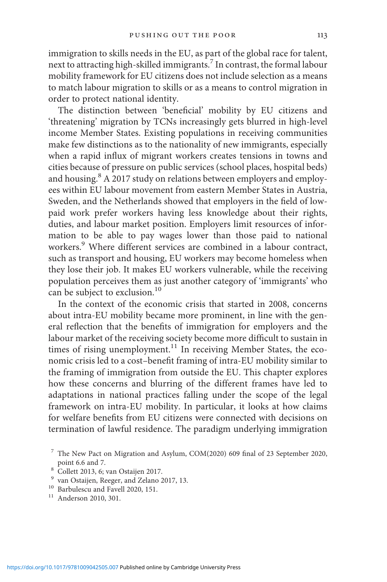immigration to skills needs in the EU, as part of the global race for talent, next to attracting high-skilled immigrants.7 In contrast, the formal labour mobility framework for EU citizens does not include selection as a means to match labour migration to skills or as a means to control migration in order to protect national identity.

The distinction between 'beneficial' mobility by EU citizens and 'threatening' migration by TCNs increasingly gets blurred in high-level income Member States. Existing populations in receiving communities make few distinctions as to the nationality of new immigrants, especially when a rapid influx of migrant workers creates tensions in towns and cities because of pressure on public services (school places, hospital beds) and housing.<sup>8</sup> A 2017 study on relations between employers and employees within EU labour movement from eastern Member States in Austria, Sweden, and the Netherlands showed that employers in the field of lowpaid work prefer workers having less knowledge about their rights, duties, and labour market position. Employers limit resources of information to be able to pay wages lower than those paid to national workers.<sup>9</sup> Where different services are combined in a labour contract, such as transport and housing, EU workers may become homeless when they lose their job. It makes EU workers vulnerable, while the receiving population perceives them as just another category of 'immigrants' who can be subject to exclusion.<sup>10</sup>

In the context of the economic crisis that started in 2008, concerns about intra-EU mobility became more prominent, in line with the general reflection that the benefits of immigration for employers and the labour market of the receiving society become more difficult to sustain in times of rising unemployment.<sup>11</sup> In receiving Member States, the economic crisis led to a cost–benefit framing of intra-EU mobility similar to the framing of immigration from outside the EU. This chapter explores how these concerns and blurring of the different frames have led to adaptations in national practices falling under the scope of the legal framework on intra-EU mobility. In particular, it looks at how claims for welfare benefits from EU citizens were connected with decisions on termination of lawful residence. The paradigm underlying immigration

 $7$  The New Pact on Migration and Asylum, COM(2020) 609 final of 23 September 2020, point 6.6 and 7.<br><sup>8</sup> Collett 2013, 6; van Ostaijen 2017.<br><sup>9</sup> van Ostaijen, Reeger, and Zelano 2017, 13.<br><sup>10</sup> Barbulescu and Favell 2020, 151.<br><sup>11</sup> Anderson 2010, 301.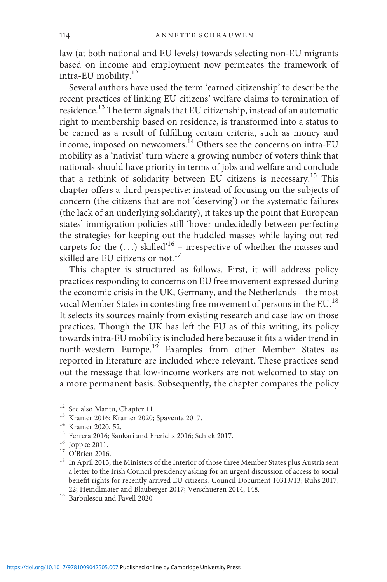law (at both national and EU levels) towards selecting non-EU migrants based on income and employment now permeates the framework of intra-EU mobility.12

Several authors have used the term 'earned citizenship' to describe the recent practices of linking EU citizens' welfare claims to termination of residence.<sup>13</sup> The term signals that EU citizenship, instead of an automatic right to membership based on residence, is transformed into a status to be earned as a result of fulfilling certain criteria, such as money and income, imposed on newcomers.<sup>14</sup> Others see the concerns on intra-EU mobility as a 'nativist' turn where a growing number of voters think that nationals should have priority in terms of jobs and welfare and conclude that a rethink of solidarity between EU citizens is necessary.<sup>15</sup> This chapter offers a third perspective: instead of focusing on the subjects of concern (the citizens that are not 'deserving') or the systematic failures (the lack of an underlying solidarity), it takes up the point that European states' immigration policies still 'hover undecidedly between perfecting the strategies for keeping out the huddled masses while laying out red carpets for the  $(...)$  skilled<sup>16</sup> – irrespective of whether the masses and skilled are EU citizens or not.<sup>17</sup>

This chapter is structured as follows. First, it will address policy practices responding to concerns on EU free movement expressed during the economic crisis in the UK, Germany, and the Netherlands – the most vocal Member States in contesting free movement of persons in the EU.18 It selects its sources mainly from existing research and case law on those practices. Though the UK has left the EU as of this writing, its policy towards intra-EU mobility is included here because it fits a wider trend in north-western Europe.<sup>19</sup> Examples from other Member States as reported in literature are included where relevant. These practices send out the message that low-income workers are not welcomed to stay on a more permanent basis. Subsequently, the chapter compares the policy

- 
- 
- 
- 
- 
- 
- $^{12}$  See also Mantu, Chapter 11.<br> $^{13}$  Kramer 2016; Kramer 2020; Spaventa 2017.<br> $^{14}$  Kramer 2020, 52.<br> $^{15}$  Ferrera 2016; Sankari and Frerichs 2016; Schiek 2017.<br> $^{16}$  Joppke 2011.<br> $^{17}$  O'Brien 2016.<br> $^{18}$  In Ap a letter to the Irish Council presidency asking for an urgent discussion of access to social benefit rights for recently arrived EU citizens, Council Document 10313/13; Ruhs 2017, 22; Heindlmaier and Blauberger 2017; Verschueren 2014, 148.  $^{19}$  Barbulescu and Favell 2020
-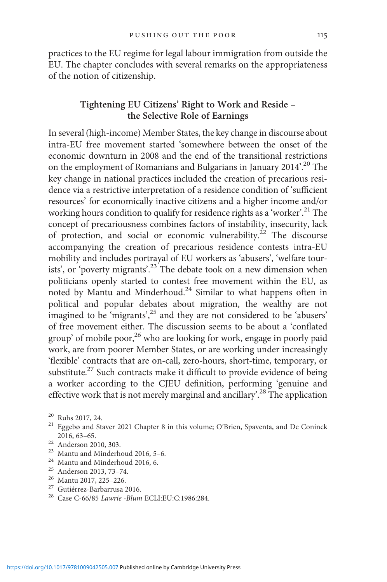practices to the EU regime for legal labour immigration from outside the EU. The chapter concludes with several remarks on the appropriateness of the notion of citizenship.

## Tightening EU Citizens' Right to Work and Reside – the Selective Role of Earnings

In several (high-income) Member States, the key change in discourse about intra-EU free movement started 'somewhere between the onset of the economic downturn in 2008 and the end of the transitional restrictions on the employment of Romanians and Bulgarians in January 2014'. <sup>20</sup> The key change in national practices included the creation of precarious residence via a restrictive interpretation of a residence condition of 'sufficient resources' for economically inactive citizens and a higher income and/or working hours condition to qualify for residence rights as a 'worker'. <sup>21</sup> The concept of precariousness combines factors of instability, insecurity, lack of protection, and social or economic vulnerability.<sup>22</sup> The discourse accompanying the creation of precarious residence contests intra-EU mobility and includes portrayal of EU workers as 'abusers', 'welfare tourists', or 'poverty migrants'.<sup>23</sup> The debate took on a new dimension when politicians openly started to contest free movement within the EU, as noted by Mantu and Minderhoud.24 Similar to what happens often in political and popular debates about migration, the wealthy are not imagined to be 'migrants',<sup>25</sup> and they are not considered to be 'abusers' of free movement either. The discussion seems to be about a 'conflated group' of mobile poor, $^{26}$  who are looking for work, engage in poorly paid work, are from poorer Member States, or are working under increasingly 'flexible' contracts that are on-call, zero-hours, short-time, temporary, or substitute.<sup>27</sup> Such contracts make it difficult to provide evidence of being a worker according to the CJEU definition, performing 'genuine and effective work that is not merely marginal and ancillary'.<sup>28</sup> The application

- <sup>20</sup> Ruhs 2017, 24. <sup>21</sup> Eggebø and Staver 2021 Chapter 8 in this volume; O'Brien, Spaventa, and De Coninck 2016, 63–65.
- 
- 
- 
- 
- 
- 
- <sup>22</sup> Anderson 2010, 303.<br>
<sup>23</sup> Mantu and Minderhoud 2016, 5–6.<br>
<sup>24</sup> Mantu and Minderhoud 2016, 6.<br>
<sup>25</sup> Anderson 2013, 73–74.<br>
<sup>26</sup> Mantu 2017, 225–226.<br>
<sup>27</sup> Gutiérrez-Barbarrusa 2016.<br>
<sup>28</sup> Case C-66/85 *Lawrie -Blum*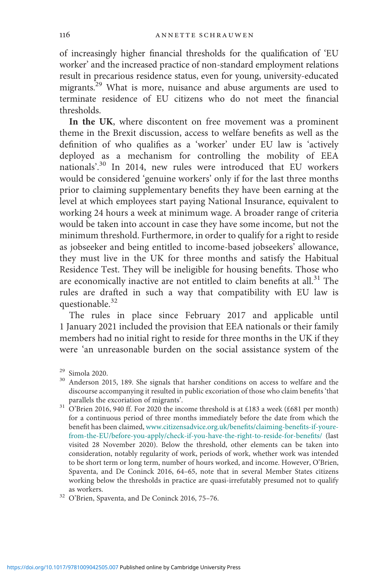of increasingly higher financial thresholds for the qualification of 'EU worker' and the increased practice of non-standard employment relations result in precarious residence status, even for young, university-educated migrants.29 What is more, nuisance and abuse arguments are used to terminate residence of EU citizens who do not meet the financial thresholds.

In the UK, where discontent on free movement was a prominent theme in the Brexit discussion, access to welfare benefits as well as the definition of who qualifies as a 'worker' under EU law is 'actively deployed as a mechanism for controlling the mobility of EEA nationals'. <sup>30</sup> In 2014, new rules were introduced that EU workers would be considered 'genuine workers' only if for the last three months prior to claiming supplementary benefits they have been earning at the level at which employees start paying National Insurance, equivalent to working 24 hours a week at minimum wage. A broader range of criteria would be taken into account in case they have some income, but not the minimum threshold. Furthermore, in order to qualify for a right to reside as jobseeker and being entitled to income-based jobseekers' allowance, they must live in the UK for three months and satisfy the Habitual Residence Test. They will be ineligible for housing benefits. Those who are economically inactive are not entitled to claim benefits at all.<sup>31</sup> The rules are drafted in such a way that compatibility with EU law is questionable.<sup>32</sup>

The rules in place since February 2017 and applicable until 1 January 2021 included the provision that EEA nationals or their family members had no initial right to reside for three months in the UK if they were 'an unreasonable burden on the social assistance system of the

 $31$  O'Brien 2016, 940 ff. For 2020 the income threshold is at £183 a week (£681 per month) for a continuous period of three months immediately before the date from which the benefit has been claimed, [www.citizensadvice.org.uk/bene](http://www.citizensadvice.org.uk/benefits/claiming-benefits-if-youre-from-the-EU/before-you-apply/check-if-you-have-the-right-to-reside-for-benefits/)fits/claiming-benefits-if-youre[from-the-EU/before-you-apply/check-if-you-have-the-right-to-reside-for-bene](http://www.citizensadvice.org.uk/benefits/claiming-benefits-if-youre-from-the-EU/before-you-apply/check-if-you-have-the-right-to-reside-for-benefits/)fits/ (last visited 28 November 2020). Below the threshold, other elements can be taken into consideration, notably regularity of work, periods of work, whether work was intended to be short term or long term, number of hours worked, and income. However, O'Brien, Spaventa, and De Coninck 2016, 64–65, note that in several Member States citizens working below the thresholds in practice are quasi-irrefutably presumed not to qualify as workers. <sup>32</sup> <sup>O</sup>'Brien, Spaventa, and De Coninck 2016, 75–76.

<sup>&</sup>lt;sup>29</sup> Simola 2020.<br><sup>30</sup> Anderson 2015, 189. She signals that harsher conditions on access to welfare and the discourse accompanying it resulted in public excoriation of those who claim benefits 'that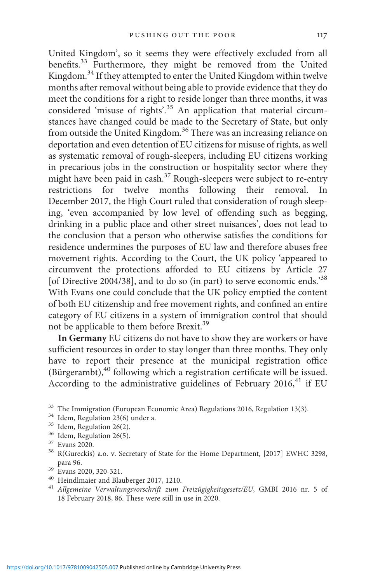United Kingdom', so it seems they were effectively excluded from all benefits.33 Furthermore, they might be removed from the United Kingdom.34 If they attempted to enter the United Kingdom within twelve months after removal without being able to provide evidence that they do meet the conditions for a right to reside longer than three months, it was considered 'misuse of rights'.<sup>35</sup> An application that material circumstances have changed could be made to the Secretary of State, but only from outside the United Kingdom.36 There was an increasing reliance on deportation and even detention of EU citizens for misuse of rights, as well as systematic removal of rough-sleepers, including EU citizens working in precarious jobs in the construction or hospitality sector where they might have been paid in cash.<sup>37</sup> Rough-sleepers were subject to re-entry restrictions for twelve months following their removal. In December 2017, the High Court ruled that consideration of rough sleeping, 'even accompanied by low level of offending such as begging, drinking in a public place and other street nuisances', does not lead to the conclusion that a person who otherwise satisfies the conditions for residence undermines the purposes of EU law and therefore abuses free movement rights. According to the Court, the UK policy 'appeared to circumvent the protections afforded to EU citizens by Article 27 [of Directive 2004/38], and to do so (in part) to serve economic ends.<sup>38</sup> With Evans one could conclude that the UK policy emptied the content of both EU citizenship and free movement rights, and confined an entire category of EU citizens in a system of immigration control that should not be applicable to them before Brexit.<sup>39</sup>

In Germany EU citizens do not have to show they are workers or have sufficient resources in order to stay longer than three months. They only have to report their presence at the municipal registration office (Bürgerambt),<sup>40</sup> following which a registration certificate will be issued. According to the administrative guidelines of February  $2016$ <sup>41</sup> if EU

- 
- 
- 

- 
- 
- $^{40}$  Heindlmaier and Blauberger 2017, 1210.  $^{41}$  Allgemeine Verwaltungsvorschrift zum Freizügigkeitsgesetz/EU, GMBI 2016 nr. 5 of 18 February 2018, 86. These were still in use in 2020.

<sup>&</sup>lt;sup>33</sup> The Immigration (European Economic Area) Regulations 2016, Regulation 13(3).<br><sup>34</sup> Idem, Regulation 23(6) under a.<br><sup>35</sup> Idem, Regulation 26(2).<br><sup>36</sup> Idem, Regulation 26(5).<br><sup>37</sup> Evans 2020.<br><sup>38</sup> R(Gureckis) a.o. v. Se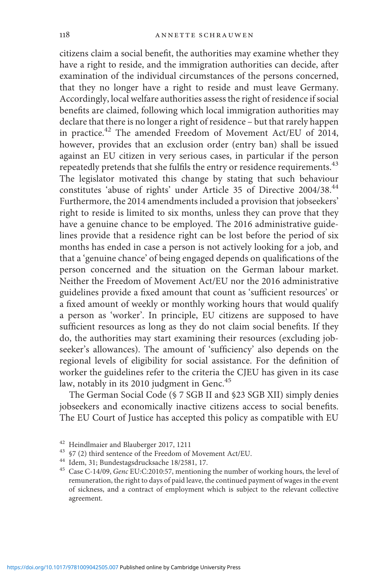citizens claim a social benefit, the authorities may examine whether they have a right to reside, and the immigration authorities can decide, after examination of the individual circumstances of the persons concerned, that they no longer have a right to reside and must leave Germany. Accordingly, local welfare authorities assess the right of residence if social benefits are claimed, following which local immigration authorities may declare that there is no longer a right of residence – but that rarely happen in practice.<sup>42</sup> The amended Freedom of Movement Act/EU of 2014, however, provides that an exclusion order (entry ban) shall be issued against an EU citizen in very serious cases, in particular if the person repeatedly pretends that she fulfils the entry or residence requirements.<sup>43</sup> The legislator motivated this change by stating that such behaviour constitutes 'abuse of rights' under Article 35 of Directive 2004/38.<sup>44</sup> Furthermore, the 2014 amendments included a provision that jobseekers' right to reside is limited to six months, unless they can prove that they have a genuine chance to be employed. The 2016 administrative guidelines provide that a residence right can be lost before the period of six months has ended in case a person is not actively looking for a job, and that a 'genuine chance' of being engaged depends on qualifications of the person concerned and the situation on the German labour market. Neither the Freedom of Movement Act/EU nor the 2016 administrative guidelines provide a fixed amount that count as 'sufficient resources' or a fixed amount of weekly or monthly working hours that would qualify a person as 'worker'. In principle, EU citizens are supposed to have sufficient resources as long as they do not claim social benefits. If they do, the authorities may start examining their resources (excluding jobseeker's allowances). The amount of 'sufficiency' also depends on the regional levels of eligibility for social assistance. For the definition of worker the guidelines refer to the criteria the CJEU has given in its case law, notably in its 2010 judgment in Genc.<sup>45</sup>

The German Social Code (§ 7 SGB II and §23 SGB XII) simply denies jobseekers and economically inactive citizens access to social benefits. The EU Court of Justice has accepted this policy as compatible with EU

 $^{42}$  Heindlmaier and Blauberger 2017, 1211<br> $^{43}$   $$7$  (2) third sentence of the Freedom of Movement Act/EU.<br> $^{44}$  Idem, 31; Bundestagsdrucksache 18/2581, 17.<br> $^{45}$  Case C-14/09, *Genc* EU:C:2010:57, mentioning the nu remuneration, the right to days of paid leave, the continued payment of wages in the event of sickness, and a contract of employment which is subject to the relevant collective agreement.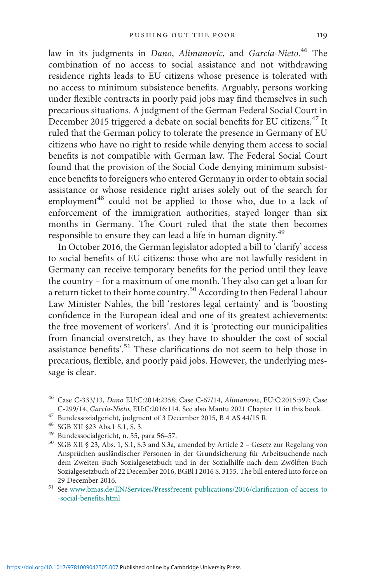law in its judgments in *Dano, Alimanovic*, and *García-Nieto.<sup>46</sup> T*he combination of no access to social assistance and not withdrawing residence rights leads to EU citizens whose presence is tolerated with no access to minimum subsistence benefits. Arguably, persons working under flexible contracts in poorly paid jobs may find themselves in such precarious situations. A judgment of the German Federal Social Court in December 2015 triggered a debate on social benefits for EU citizens.<sup>47</sup> It ruled that the German policy to tolerate the presence in Germany of EU citizens who have no right to reside while denying them access to social benefits is not compatible with German law. The Federal Social Court found that the provision of the Social Code denying minimum subsistence benefits to foreigners who entered Germany in order to obtain social assistance or whose residence right arises solely out of the search for employment<sup>48</sup> could not be applied to those who, due to a lack of enforcement of the immigration authorities, stayed longer than six months in Germany. The Court ruled that the state then becomes responsible to ensure they can lead a life in human dignity.<sup>49</sup>

In October 2016, the German legislator adopted a bill to 'clarify' access to social benefits of EU citizens: those who are not lawfully resident in Germany can receive temporary benefits for the period until they leave the country – for a maximum of one month. They also can get a loan for a return ticket to their home country.<sup>50</sup> According to then Federal Labour Law Minister Nahles, the bill 'restores legal certainty' and is 'boosting confidence in the European ideal and one of its greatest achievements: the free movement of workers'. And it is 'protecting our municipalities from financial overstretch, as they have to shoulder the cost of social assistance benefits'.<sup>51</sup> These clarifications do not seem to help those in precarious, flexible, and poorly paid jobs. However, the underlying message is clear.

29 December 2016.  $51$  See [www.bmas.de/EN/Services/Press?recent-publications/2016/clari](http://www.bmas.de/EN/Services/Press?recent-publications/2016/clarification-of-access-to-social-benefits.html)fication-of-access-to [-social-bene](http://www.bmas.de/EN/Services/Press?recent-publications/2016/clarification-of-access-to-social-benefits.html)fits.html

<sup>&</sup>lt;sup>46</sup> Case C-333/13, *Dano* EU:C:2014:2358; Case C-67/14, *Alimanovic*, EU:C:2015:597; Case C-299/14, *García-Nieto*, EU:C:2016:114. See also Mantu 2021 Chapter 11 in this book.

<sup>&</sup>lt;sup>47</sup> Bundessozialgericht, judgment of 3 December 2015, B 4 AS 44/15 R.<br><sup>48</sup> SGB XII §23 Abs.1 S.1, S. 3.<br><sup>49</sup> Bundessocialgericht, n. 55, para 56–57.<br><sup>50</sup> SGB XII § 23, Abs. 1, S.1, S.3 and S.3a, amended by Article 2 – Ge Ansprüchen ausländischer Personen in der Grundsicherung für Arbeitsuchende nach dem Zweiten Buch Sozialgesetzbuch und in der Sozialhilfe nach dem Zwölften Buch Sozialgesetzbuch of 22 December 2016, BGBl I 2016 S. 3155. The bill entered into force on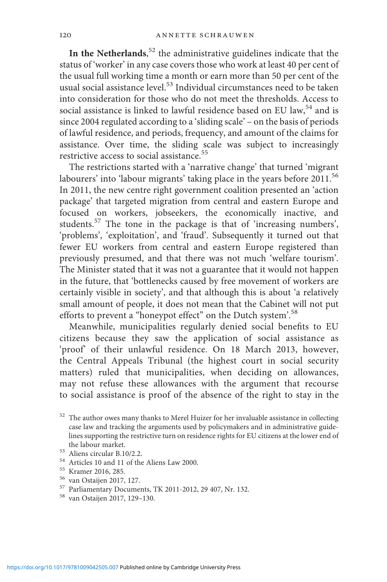In the Netherlands, $52$  the administrative guidelines indicate that the status of 'worker' in any case covers those who work at least 40 per cent of the usual full working time a month or earn more than 50 per cent of the usual social assistance level.<sup>53</sup> Individual circumstances need to be taken into consideration for those who do not meet the thresholds. Access to social assistance is linked to lawful residence based on EU law,<sup>54</sup> and is since 2004 regulated according to a 'sliding scale' – on the basis of periods of lawful residence, and periods, frequency, and amount of the claims for assistance. Over time, the sliding scale was subject to increasingly restrictive access to social assistance.<sup>55</sup>

The restrictions started with a 'narrative change' that turned 'migrant labourers' into 'labour migrants' taking place in the years before 2011.<sup>56</sup> In 2011, the new centre right government coalition presented an 'action package' that targeted migration from central and eastern Europe and focused on workers, jobseekers, the economically inactive, and students.<sup>57</sup> The tone in the package is that of 'increasing numbers', 'problems', 'exploitation', and 'fraud'. Subsequently it turned out that fewer EU workers from central and eastern Europe registered than previously presumed, and that there was not much 'welfare tourism'. The Minister stated that it was not a guarantee that it would not happen in the future, that 'bottlenecks caused by free movement of workers are certainly visible in society', and that although this is about 'a relatively small amount of people, it does not mean that the Cabinet will not put efforts to prevent a "honeypot effect" on the Dutch system'. 58

Meanwhile, municipalities regularly denied social benefits to EU citizens because they saw the application of social assistance as 'proof' of their unlawful residence. On 18 March 2013, however, the Central Appeals Tribunal (the highest court in social security matters) ruled that municipalities, when deciding on allowances, may not refuse these allowances with the argument that recourse to social assistance is proof of the absence of the right to stay in the

 $52\,$  The author owes many thanks to Merel Huizer for her invaluable assistance in collecting case law and tracking the arguments used by policymakers and in administrative guidelines supporting the restrictive turn on residence rights for EU citizens at the lower end of

<sup>&</sup>lt;sup>53</sup> Aliens circular B.10/2.2.<br>
<sup>54</sup> Articles 10 and 11 of the Aliens Law 2000.<br>
<sup>55</sup> Kramer 2016, 285.<br>
<sup>56</sup> van Ostaijen 2017, 127.<br>
<sup>57</sup> Parliamentary Documents, TK 2011-2012, 29 407, Nr. 132.<br>
<sup>58</sup> van Ostaijen 2017,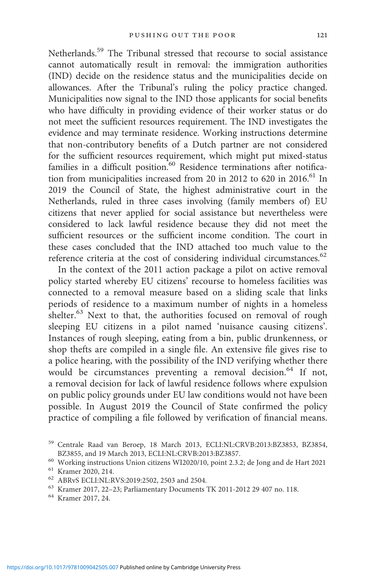Netherlands.59 The Tribunal stressed that recourse to social assistance cannot automatically result in removal: the immigration authorities (IND) decide on the residence status and the municipalities decide on allowances. After the Tribunal's ruling the policy practice changed. Municipalities now signal to the IND those applicants for social benefits who have difficulty in providing evidence of their worker status or do not meet the sufficient resources requirement. The IND investigates the evidence and may terminate residence. Working instructions determine that non-contributory benefits of a Dutch partner are not considered for the sufficient resources requirement, which might put mixed-status families in a difficult position.<sup>60</sup> Residence terminations after notification from municipalities increased from 20 in 2012 to 620 in 2016.<sup>61</sup> In 2019 the Council of State, the highest administrative court in the Netherlands, ruled in three cases involving (family members of) EU citizens that never applied for social assistance but nevertheless were considered to lack lawful residence because they did not meet the sufficient resources or the sufficient income condition. The court in these cases concluded that the IND attached too much value to the reference criteria at the cost of considering individual circumstances.<sup>62</sup>

In the context of the 2011 action package a pilot on active removal policy started whereby EU citizens' recourse to homeless facilities was connected to a removal measure based on a sliding scale that links periods of residence to a maximum number of nights in a homeless shelter.<sup>63</sup> Next to that, the authorities focused on removal of rough sleeping EU citizens in a pilot named 'nuisance causing citizens'. Instances of rough sleeping, eating from a bin, public drunkenness, or shop thefts are compiled in a single file. An extensive file gives rise to a police hearing, with the possibility of the IND verifying whether there would be circumstances preventing a removal decision.<sup>64</sup> If not, a removal decision for lack of lawful residence follows where expulsion on public policy grounds under EU law conditions would not have been possible. In August 2019 the Council of State confirmed the policy practice of compiling a file followed by verification of financial means.

<sup>59</sup> Centrale Raad van Beroep, 18 March 2013, ECLI:NL:CRVB:2013:BZ3853, BZ3854,

<sup>%</sup> Working instructions Union citizens WI2020/10, point 2.3.2; de Jong and de Hart 2021<br>
<sup>61</sup> Kramer 2020, 214.<br>
<sup>62</sup> ABRvS ECLI:NL:RVS:2019:2502, 2503 and 2504.<br>
<sup>63</sup> Kramer 2017, 22–23; Parliamentary Documents TK 2011-20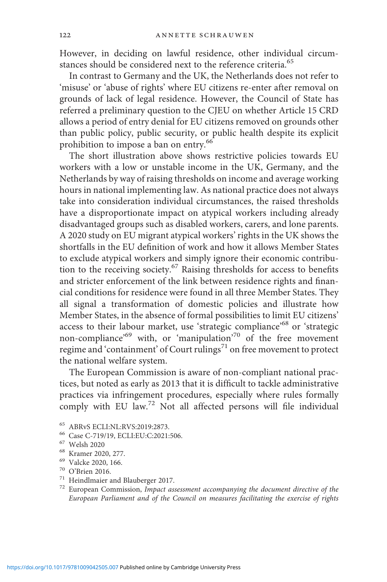However, in deciding on lawful residence, other individual circumstances should be considered next to the reference criteria.<sup>65</sup>

In contrast to Germany and the UK, the Netherlands does not refer to 'misuse' or 'abuse of rights' where EU citizens re-enter after removal on grounds of lack of legal residence. However, the Council of State has referred a preliminary question to the CJEU on whether Article 15 CRD allows a period of entry denial for EU citizens removed on grounds other than public policy, public security, or public health despite its explicit prohibition to impose a ban on entry.<sup>66</sup>

The short illustration above shows restrictive policies towards EU workers with a low or unstable income in the UK, Germany, and the Netherlands by way of raising thresholds on income and average working hours in national implementing law. As national practice does not always take into consideration individual circumstances, the raised thresholds have a disproportionate impact on atypical workers including already disadvantaged groups such as disabled workers, carers, and lone parents. A 2020 study on EU migrant atypical workers' rights in the UK shows the shortfalls in the EU definition of work and how it allows Member States to exclude atypical workers and simply ignore their economic contribution to the receiving society.<sup>67</sup> Raising thresholds for access to benefits and stricter enforcement of the link between residence rights and financial conditions for residence were found in all three Member States. They all signal a transformation of domestic policies and illustrate how Member States, in the absence of formal possibilities to limit EU citizens' access to their labour market, use 'strategic compliance'<sup>68</sup> or 'strategic non-compliance' <sup>69</sup> with, or 'manipulation' <sup>70</sup> of the free movement regime and 'containment' of Court rulings<sup>71</sup> on free movement to protect the national welfare system.

The European Commission is aware of non-compliant national practices, but noted as early as 2013 that it is difficult to tackle administrative practices via infringement procedures, especially where rules formally comply with EU law.<sup>72</sup> Not all affected persons will file individual

- 
- 
- 
- 
- % ABRvS ECLI:NL:RVS:2019:2873.<br>
% Case C-719/19, ECLI:EU:C:2021:506.<br>
% Welsh 2020<br>
% Kramer 2020, 277.<br>
% Valcke 2020, 166.<br>
70 O'Brien 2016.<br>
71 Heindlmaier and Blauberger 2017.<br>
72 European Commission, *Impact assessme* European Parliament and of the Council on measures facilitating the exercise of rights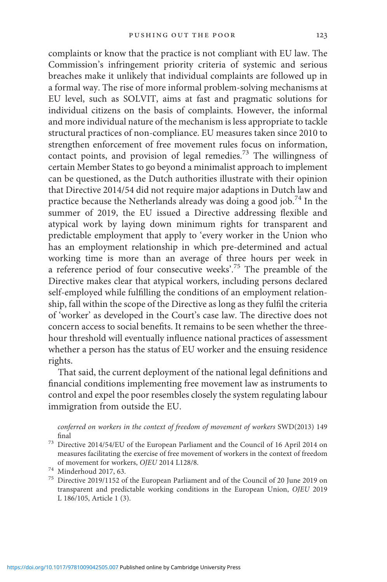complaints or know that the practice is not compliant with EU law. The Commission's infringement priority criteria of systemic and serious breaches make it unlikely that individual complaints are followed up in a formal way. The rise of more informal problem-solving mechanisms at EU level, such as SOLVIT, aims at fast and pragmatic solutions for individual citizens on the basis of complaints. However, the informal and more individual nature of the mechanism is less appropriate to tackle structural practices of non-compliance. EU measures taken since 2010 to strengthen enforcement of free movement rules focus on information, contact points, and provision of legal remedies.<sup>73</sup> The willingness of certain Member States to go beyond a minimalist approach to implement can be questioned, as the Dutch authorities illustrate with their opinion that Directive 2014/54 did not require major adaptions in Dutch law and practice because the Netherlands already was doing a good job.<sup>74</sup> In the summer of 2019, the EU issued a Directive addressing flexible and atypical work by laying down minimum rights for transparent and predictable employment that apply to 'every worker in the Union who has an employment relationship in which pre-determined and actual working time is more than an average of three hours per week in a reference period of four consecutive weeks'.<sup>75</sup> The preamble of the Directive makes clear that atypical workers, including persons declared self-employed while fulfilling the conditions of an employment relationship, fall within the scope of the Directive as long as they fulfil the criteria of 'worker' as developed in the Court's case law. The directive does not concern access to social benefits. It remains to be seen whether the threehour threshold will eventually influence national practices of assessment whether a person has the status of EU worker and the ensuing residence rights.

That said, the current deployment of the national legal definitions and financial conditions implementing free movement law as instruments to control and expel the poor resembles closely the system regulating labour immigration from outside the EU.

conferred on workers in the context of freedom of movement of workers SWD(2013) 149 final  $^{73}$  Directive 2014/54/EU of the European Parliament and the Council of 16 April 2014 on

measures facilitating the exercise of free movement of workers in the context of freedom of movement for workers, OJEU 2014 L128/8.

of movement for workers, O*LC* 2014 L128/8.<br><sup>74</sup> Minderhoud 2017, 63.<br><sup>75</sup> Directive 2019/1152 of the European Parliament and of the Council of 20 June 2019 on transparent and predictable working conditions in the European Union, OJEU 2019 L 186/105, Article 1 (3).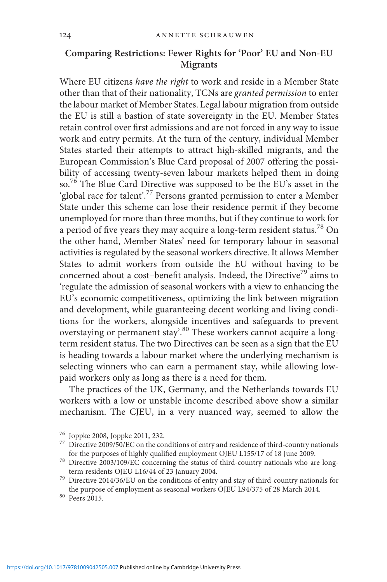## Comparing Restrictions: Fewer Rights for 'Poor' EU and Non-EU Migrants

Where EU citizens have the right to work and reside in a Member State other than that of their nationality, TCNs are granted permission to enter the labour market of Member States. Legal labour migration from outside the EU is still a bastion of state sovereignty in the EU. Member States retain control over first admissions and are not forced in any way to issue work and entry permits. At the turn of the century, individual Member States started their attempts to attract high-skilled migrants, and the European Commission's Blue Card proposal of 2007 offering the possibility of accessing twenty-seven labour markets helped them in doing so.<sup>76</sup> The Blue Card Directive was supposed to be the EU's asset in the 'global race for talent'.<sup>77</sup> Persons granted permission to enter a Member State under this scheme can lose their residence permit if they become unemployed for more than three months, but if they continue to work for a period of five years they may acquire a long-term resident status.<sup>78</sup> On the other hand, Member States' need for temporary labour in seasonal activities is regulated by the seasonal workers directive. It allows Member States to admit workers from outside the EU without having to be concerned about a cost–benefit analysis. Indeed, the Directive<sup>79</sup> aims to 'regulate the admission of seasonal workers with a view to enhancing the EU's economic competitiveness, optimizing the link between migration and development, while guaranteeing decent working and living conditions for the workers, alongside incentives and safeguards to prevent overstaying or permanent stay'.<sup>80</sup> These workers cannot acquire a longterm resident status. The two Directives can be seen as a sign that the EU is heading towards a labour market where the underlying mechanism is selecting winners who can earn a permanent stay, while allowing lowpaid workers only as long as there is a need for them.

The practices of the UK, Germany, and the Netherlands towards EU workers with a low or unstable income described above show a similar mechanism. The CJEU, in a very nuanced way, seemed to allow the

<sup>&</sup>lt;sup>76</sup> Joppke 2008, Joppke 2011, 232.<br><sup>77</sup> Directive 2009/50/EC on the conditions of entry and residence of third-country nationals

for the purposes of highly qualified employment OJEU L155/17 of 18 June 2009.<br><sup>78</sup> Directive 2003/109/EC concerning the status of third-country nationals who are long-<br>term residents OJEU L16/44 of 23 January 2004.

 $^{79}$  Directive 2014/36/EU on the conditions of entry and stay of third-country nationals for the purpose of employment as seasonal workers OJEU L94/375 of 28 March 2014.  $^{\rm 80}$  Peers 2015.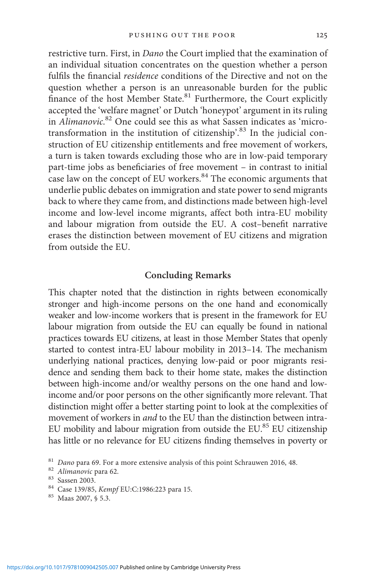restrictive turn. First, in Dano the Court implied that the examination of an individual situation concentrates on the question whether a person fulfils the financial residence conditions of the Directive and not on the question whether a person is an unreasonable burden for the public finance of the host Member State.<sup>81</sup> Furthermore, the Court explicitly accepted the 'welfare magnet' or Dutch 'honeypot' argument in its ruling in Alimanovic.<sup>82</sup> One could see this as what Sassen indicates as 'microtransformation in the institution of citizenship'.<sup>83</sup> In the judicial construction of EU citizenship entitlements and free movement of workers, a turn is taken towards excluding those who are in low-paid temporary part-time jobs as beneficiaries of free movement – in contrast to initial case law on the concept of EU workers. $84$  The economic arguments that underlie public debates on immigration and state power to send migrants back to where they came from, and distinctions made between high-level income and low-level income migrants, affect both intra-EU mobility and labour migration from outside the EU. A cost–benefit narrative erases the distinction between movement of EU citizens and migration from outside the EU.

#### Concluding Remarks

This chapter noted that the distinction in rights between economically stronger and high-income persons on the one hand and economically weaker and low-income workers that is present in the framework for EU labour migration from outside the EU can equally be found in national practices towards EU citizens, at least in those Member States that openly started to contest intra-EU labour mobility in 2013–14. The mechanism underlying national practices, denying low-paid or poor migrants residence and sending them back to their home state, makes the distinction between high-income and/or wealthy persons on the one hand and lowincome and/or poor persons on the other significantly more relevant. That distinction might offer a better starting point to look at the complexities of movement of workers in and to the EU than the distinction between intra-EU mobility and labour migration from outside the EU.<sup>85</sup> EU citizenship has little or no relevance for EU citizens finding themselves in poverty or

<sup>&</sup>lt;sup>81</sup> Dano para 69. For a more extensive analysis of this point Schrauwen 2016, 48.<br><sup>82</sup> Alimanovic para 62.<br><sup>83</sup> Sassen 2003.<br><sup>84</sup> Case 139/85, *Kempf* EU:C:1986:223 para 15.<br><sup>85</sup> Maas 2007, § 5.3.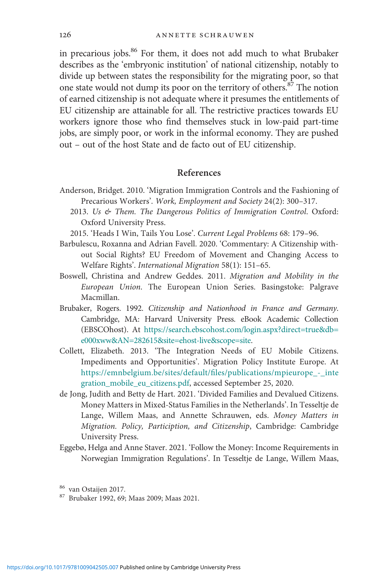in precarious jobs.<sup>86</sup> For them, it does not add much to what Brubaker describes as the 'embryonic institution' of national citizenship, notably to divide up between states the responsibility for the migrating poor, so that one state would not dump its poor on the territory of others.87 The notion of earned citizenship is not adequate where it presumes the entitlements of EU citizenship are attainable for all. The restrictive practices towards EU workers ignore those who find themselves stuck in low-paid part-time jobs, are simply poor, or work in the informal economy. They are pushed out – out of the host State and de facto out of EU citizenship.

### References

- Anderson, Bridget. 2010. 'Migration Immigration Controls and the Fashioning of Precarious Workers'. Work, Employment and Society 24(2): 300–317.
	- 2013. Us & Them. The Dangerous Politics of Immigration Control. Oxford: Oxford University Press.
	- 2015. 'Heads I Win, Tails You Lose'. Current Legal Problems 68: 179–96.
- Barbulescu, Roxanna and Adrian Favell. 2020. 'Commentary: A Citizenship without Social Rights? EU Freedom of Movement and Changing Access to Welfare Rights'. International Migration 58(1): 151–65.
- Boswell, Christina and Andrew Geddes. 2011. Migration and Mobility in the European Union. The European Union Series. Basingstoke: Palgrave Macmillan.
- Brubaker, Rogers. 1992. Citizenship and Nationhood in France and Germany. Cambridge, MA: Harvard University Press. eBook Academic Collection (EBSCOhost). At [https://search.ebscohost.com/login.aspx?direct=true&db=](https://search.ebscohost.com/login.aspx?direct=true%26db=e000xww%26AN=282615%26site=ehost-live%26scope=site) [e000xww&AN=282615&site=ehost-live&scope=site](https://search.ebscohost.com/login.aspx?direct=true%26db=e000xww%26AN=282615%26site=ehost-live%26scope=site).
- Collett, Elizabeth. 2013. 'The Integration Needs of EU Mobile Citizens. Impediments and Opportunities'. Migration Policy Institute Europe. At [https://emnbelgium.be/sites/default/](https://emnbelgium.be/sites/default/files/publications/mpieurope%5F-%5Fintegration%5Fmobile%5Feu%5Fcitizens.pdf)files/publications/mpieurope\_-\_inte [gration\\_mobile\\_eu\\_citizens.pdf,](https://emnbelgium.be/sites/default/files/publications/mpieurope%5F-%5Fintegration%5Fmobile%5Feu%5Fcitizens.pdf) accessed September 25, 2020.
- de Jong, Judith and Betty de Hart. 2021. 'Divided Families and Devalued Citizens. Money Matters in Mixed-Status Families in the Netherlands'. In Tesseltje de Lange, Willem Maas, and Annette Schrauwen, eds. Money Matters in Migration. Policy, Particiption, and Citizenship, Cambridge: Cambridge University Press.
- Eggebø, Helga and Anne Staver. 2021. 'Follow the Money: Income Requirements in Norwegian Immigration Regulations'. In Tesseltje de Lange, Willem Maas,

 $\frac{86}{87}$  van Ostaijen 2017.<br> $\frac{87}{87}$  Brubaker 1992, 69; Maas 2009; Maas 2021.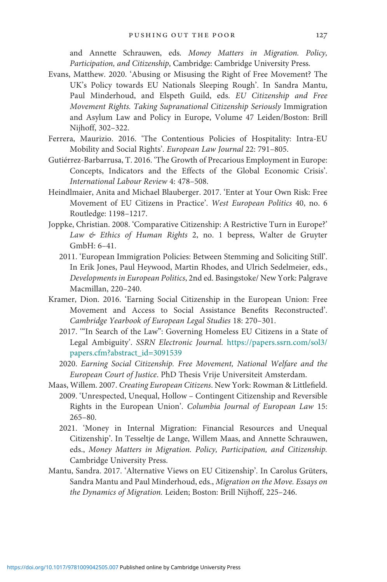and Annette Schrauwen, eds. Money Matters in Migration. Policy, Participation, and Citizenship, Cambridge: Cambridge University Press.

- Evans, Matthew. 2020. 'Abusing or Misusing the Right of Free Movement? The UK's Policy towards EU Nationals Sleeping Rough'. In Sandra Mantu, Paul Minderhoud, and Elspeth Guild, eds. EU Citizenship and Free Movement Rights. Taking Supranational Citizenship Seriously Immigration and Asylum Law and Policy in Europe, Volume 47 Leiden/Boston: Brill Nijhoff, 302–322.
- Ferrera, Maurizio. 2016. 'The Contentious Policies of Hospitality: Intra-EU Mobility and Social Rights'. European Law Journal 22: 791–805.
- Gutiérrez-Barbarrusa, T. 2016. 'The Growth of Precarious Employment in Europe: Concepts, Indicators and the Effects of the Global Economic Crisis'. International Labour Review 4: 478–508.
- Heindlmaier, Anita and Michael Blauberger. 2017. 'Enter at Your Own Risk: Free Movement of EU Citizens in Practice'. West European Politics 40, no. 6 Routledge: 1198–1217.
- Joppke, Christian. 2008. 'Comparative Citizenship: A Restrictive Turn in Europe?' Law & Ethics of Human Rights 2, no. 1 bepress, Walter de Gruyter GmbH: 6–41.
	- 2011. 'European Immigration Policies: Between Stemming and Soliciting Still'. In Erik Jones, Paul Heywood, Martin Rhodes, and Ulrich Sedelmeier, eds., Developments in European Politics, 2nd ed. Basingstoke/ New York: Palgrave Macmillan, 220–240.
- Kramer, Dion. 2016. 'Earning Social Citizenship in the European Union: Free Movement and Access to Social Assistance Benefits Reconstructed'. Cambridge Yearbook of European Legal Studies 18: 270–301.
	- 2017. '"In Search of the Law": Governing Homeless EU Citizens in a State of Legal Ambiguity'. SSRN Electronic Journal. [https://papers.ssrn.com/sol3/](https://papers.ssrn.com/sol3/papers.cfm?abstract%5Fid=3091539) [papers.cfm?abstract\\_id=3091539](https://papers.ssrn.com/sol3/papers.cfm?abstract%5Fid=3091539)
	- 2020. Earning Social Citizenship. Free Movement, National Welfare and the European Court of Justice. PhD Thesis Vrije Universiteit Amsterdam.
- Maas, Willem. 2007. Creating European Citizens. New York: Rowman & Littlefield. 2009. 'Unrespected, Unequal, Hollow – Contingent Citizenship and Reversible Rights in the European Union'. Columbia Journal of European Law 15: 265–80.
	- 2021. 'Money in Internal Migration: Financial Resources and Unequal Citizenship'. In Tesseltje de Lange, Willem Maas, and Annette Schrauwen, eds., Money Matters in Migration. Policy, Participation, and Citizenship. Cambridge University Press.
- Mantu, Sandra. 2017. 'Alternative Views on EU Citizenship'. In Carolus Grüters, Sandra Mantu and Paul Minderhoud, eds., Migration on the Move. Essays on the Dynamics of Migration. Leiden; Boston: Brill Nijhoff, 225–246.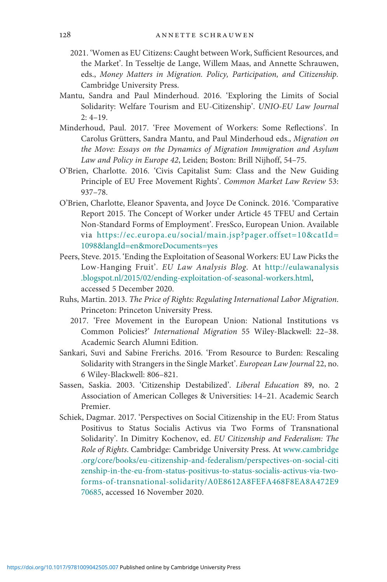- 2021. 'Women as EU Citizens: Caught between Work, Sufficient Resources, and the Market'. In Tesseltje de Lange, Willem Maas, and Annette Schrauwen, eds., Money Matters in Migration. Policy, Participation, and Citizenship. Cambridge University Press.
- Mantu, Sandra and Paul Minderhoud. 2016. 'Exploring the Limits of Social Solidarity: Welfare Tourism and EU-Citizenship'. UNIO-EU Law Journal  $2: 4 - 19.$
- Minderhoud, Paul. 2017. 'Free Movement of Workers: Some Reflections'. In Carolus Grütters, Sandra Mantu, and Paul Minderhoud eds., Migration on the Move: Essays on the Dynamics of Migration Immigration and Asylum Law and Policy in Europe 42, Leiden; Boston: Brill Nijhoff, 54–75.
- O'Brien, Charlotte. 2016. 'Civis Capitalist Sum: Class and the New Guiding Principle of EU Free Movement Rights'. Common Market Law Review 53: 937–78.
- O'Brien, Charlotte, Eleanor Spaventa, and Joyce De Coninck. 2016. 'Comparative Report 2015. The Concept of Worker under Article 45 TFEU and Certain Non-Standard Forms of Employment'. FresSco, European Union. Available via [https://ec.europa.eu/social/main.jsp?pager.offset=10&catId=](https://ec.europa.eu/social/main.jsp?pager.offset=10%26catId=1098%26langId=en%26moreDocuments=yes) [1098&langId=en&moreDocuments=yes](https://ec.europa.eu/social/main.jsp?pager.offset=10%26catId=1098%26langId=en%26moreDocuments=yes)
- Peers, Steve. 2015. 'Ending the Exploitation of Seasonal Workers: EU Law Picks the Low-Hanging Fruit'. EU Law Analysis Blog. At [http://eulawanalysis](http://eulawanalysis.blogspot.nl/2015/02/ending-exploitation-of-seasonal-workers.html) [.blogspot.nl/2015/02/ending-exploitation-of-seasonal-workers.html,](http://eulawanalysis.blogspot.nl/2015/02/ending-exploitation-of-seasonal-workers.html) accessed 5 December 2020.
- Ruhs, Martin. 2013. The Price of Rights: Regulating International Labor Migration. Princeton: Princeton University Press.
	- 2017. 'Free Movement in the European Union: National Institutions vs Common Policies?' International Migration 55 Wiley-Blackwell: 22–38. Academic Search Alumni Edition.
- Sankari, Suvi and Sabine Frerichs. 2016. 'From Resource to Burden: Rescaling Solidarity with Strangers in the Single Market'. European Law Journal 22, no. 6 Wiley-Blackwell: 806–821.
- Sassen, Saskia. 2003. 'Citizenship Destabilized'. Liberal Education 89, no. 2 Association of American Colleges & Universities: 14–21. Academic Search Premier.
- Schiek, Dagmar. 2017. 'Perspectives on Social Citizenship in the EU: From Status Positivus to Status Socialis Activus via Two Forms of Transnational Solidarity'. In Dimitry Kochenov, ed. EU Citizenship and Federalism: The Role of Rights. Cambridge: Cambridge University Press. At [www.cambridge](http://www.cambridge.org/core/books/eu-citizenship-and-federalism/perspectives-on-social-citizenship-in-the-eu-from-status-positivus-to-status-socialis-activus-via-two-forms-of-transnational-solidarity/A0E8612A8FEFA468F8EA8A472E970685) [.org/core/books/eu-citizenship-and-federalism/perspectives-on-social-citi](http://www.cambridge.org/core/books/eu-citizenship-and-federalism/perspectives-on-social-citizenship-in-the-eu-from-status-positivus-to-status-socialis-activus-via-two-forms-of-transnational-solidarity/A0E8612A8FEFA468F8EA8A472E970685) [zenship-in-the-eu-from-status-positivus-to-status-socialis-activus-via-two](http://www.cambridge.org/core/books/eu-citizenship-and-federalism/perspectives-on-social-citizenship-in-the-eu-from-status-positivus-to-status-socialis-activus-via-two-forms-of-transnational-solidarity/A0E8612A8FEFA468F8EA8A472E970685)[forms-of-transnational-solidarity/A0E8612A8FEFA468F8EA8A472E9](http://www.cambridge.org/core/books/eu-citizenship-and-federalism/perspectives-on-social-citizenship-in-the-eu-from-status-positivus-to-status-socialis-activus-via-two-forms-of-transnational-solidarity/A0E8612A8FEFA468F8EA8A472E970685) [70685,](http://www.cambridge.org/core/books/eu-citizenship-and-federalism/perspectives-on-social-citizenship-in-the-eu-from-status-positivus-to-status-socialis-activus-via-two-forms-of-transnational-solidarity/A0E8612A8FEFA468F8EA8A472E970685) accessed 16 November 2020.